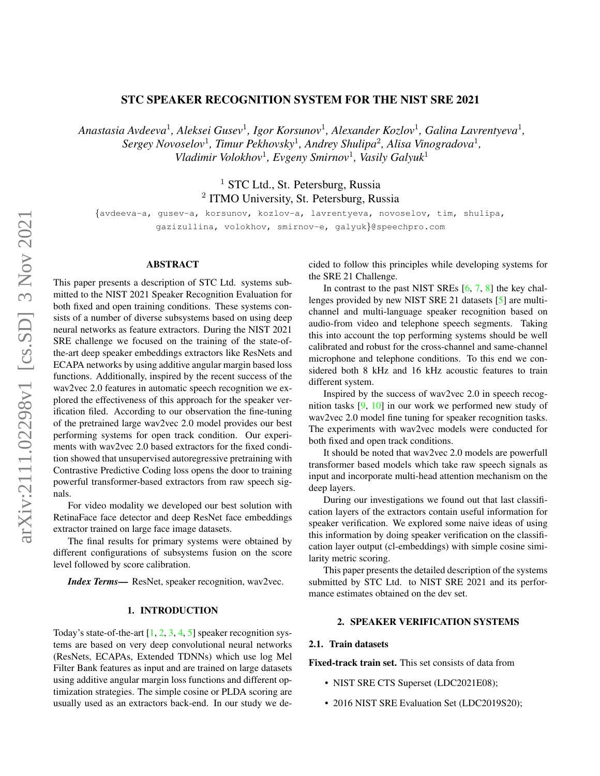# STC SPEAKER RECOGNITION SYSTEM FOR THE NIST SRE 2021

*Anastasia Avdeeva*<sup>1</sup> *, Aleksei Gusev*<sup>1</sup> *, Igor Korsunov*<sup>1</sup> *, Alexander Kozlov*<sup>1</sup> *, Galina Lavrentyeva*<sup>1</sup> *, Sergey Novoselov*<sup>1</sup> *, Timur Pekhovsky*<sup>1</sup> *, Andrey Shulipa*<sup>2</sup> *, Alisa Vinogradova*<sup>1</sup> *, Vladimir Volokhov*<sup>1</sup> *, Evgeny Smirnov*<sup>1</sup> *, Vasily Galyuk*<sup>1</sup>

> <sup>1</sup> STC Ltd., St. Petersburg, Russia <sup>2</sup> ITMO University, St. Petersburg, Russia

{avdeeva-a, gusev-a, korsunov, kozlov-a, lavrentyeva, novoselov, tim, shulipa, gazizullina, volokhov, smirnov-e, galyuk}@speechpro.com

# ABSTRACT

This paper presents a description of STC Ltd. systems submitted to the NIST 2021 Speaker Recognition Evaluation for both fixed and open training conditions. These systems consists of a number of diverse subsystems based on using deep neural networks as feature extractors. During the NIST 2021 SRE challenge we focused on the training of the state-ofthe-art deep speaker embeddings extractors like ResNets and ECAPA networks by using additive angular margin based loss functions. Additionally, inspired by the recent success of the wav2vec 2.0 features in automatic speech recognition we explored the effectiveness of this approach for the speaker verification filed. According to our observation the fine-tuning of the pretrained large wav2vec 2.0 model provides our best performing systems for open track condition. Our experiments with wav2vec 2.0 based extractors for the fixed condition showed that unsupervised autoregressive pretraining with Contrastive Predictive Coding loss opens the door to training powerful transformer-based extractors from raw speech signals.

For video modality we developed our best solution with RetinaFace face detector and deep ResNet face embeddings extractor trained on large face image datasets.

The final results for primary systems were obtained by different configurations of subsystems fusion on the score level followed by score calibration.

*Index Terms*— ResNet, speaker recognition, wav2vec.

### 1. INTRODUCTION

Today's state-of-the-art  $[1, 2, 3, 4, 5]$  $[1, 2, 3, 4, 5]$  $[1, 2, 3, 4, 5]$  $[1, 2, 3, 4, 5]$  $[1, 2, 3, 4, 5]$  $[1, 2, 3, 4, 5]$  $[1, 2, 3, 4, 5]$  $[1, 2, 3, 4, 5]$  $[1, 2, 3, 4, 5]$  speaker recognition systems are based on very deep convolutional neural networks (ResNets, ECAPAs, Extended TDNNs) which use log Mel Filter Bank features as input and are trained on large datasets using additive angular margin loss functions and different optimization strategies. The simple cosine or PLDA scoring are usually used as an extractors back-end. In our study we decided to follow this principles while developing systems for the SRE 21 Challenge.

In contrast to the past NIST SREs  $[6, 7, 8]$  $[6, 7, 8]$  $[6, 7, 8]$  $[6, 7, 8]$  $[6, 7, 8]$  the key challenges provided by new NIST SRE 21 datasets [\[5\]](#page-9-4) are multichannel and multi-language speaker recognition based on audio-from video and telephone speech segments. Taking this into account the top performing systems should be well calibrated and robust for the cross-channel and same-channel microphone and telephone conditions. To this end we considered both 8 kHz and 16 kHz acoustic features to train different system.

Inspired by the success of wav2vec 2.0 in speech recognition tasks [\[9,](#page-9-8) [10\]](#page-9-9) in our work we performed new study of wav2vec 2.0 model fine tuning for speaker recognition tasks. The experiments with wav2vec models were conducted for both fixed and open track conditions.

It should be noted that wav2vec 2.0 models are powerfull transformer based models which take raw speech signals as input and incorporate multi-head attention mechanism on the deep layers.

During our investigations we found out that last classification layers of the extractors contain useful information for speaker verification. We explored some naive ideas of using this information by doing speaker verification on the classification layer output (cl-embeddings) with simple cosine similarity metric scoring.

This paper presents the detailed description of the systems submitted by STC Ltd. to NIST SRE 2021 and its performance estimates obtained on the dev set.

# 2. SPEAKER VERIFICATION SYSTEMS

## <span id="page-0-0"></span>2.1. Train datasets

Fixed-track train set. This set consists of data from

- NIST SRE CTS Superset (LDC2021E08);
- 2016 NIST SRE Evaluation Set (LDC2019S20);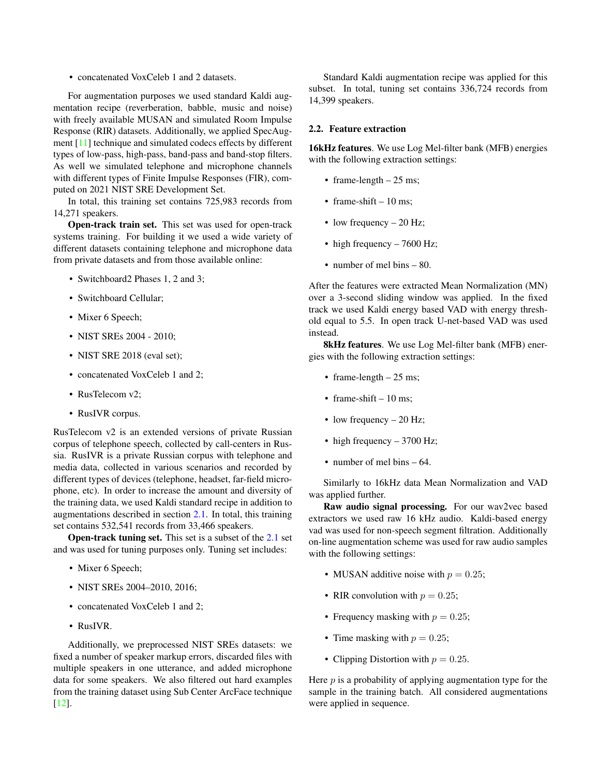• concatenated VoxCeleb 1 and 2 datasets.

For augmentation purposes we used standard Kaldi augmentation recipe (reverberation, babble, music and noise) with freely available MUSAN and simulated Room Impulse Response (RIR) datasets. Additionally, we applied SpecAugment [\[11\]](#page-9-10) technique and simulated codecs effects by different types of low-pass, high-pass, band-pass and band-stop filters. As well we simulated telephone and microphone channels with different types of Finite Impulse Responses (FIR), computed on 2021 NIST SRE Development Set.

In total, this training set contains 725,983 records from 14,271 speakers.

Open-track train set. This set was used for open-track systems training. For building it we used a wide variety of different datasets containing telephone and microphone data from private datasets and from those available online:

- Switchboard2 Phases 1, 2 and 3;
- Switchboard Cellular;
- Mixer 6 Speech;
- NIST SREs 2004 2010;
- NIST SRE 2018 (eval set);
- concatenated VoxCeleb 1 and 2;
- RusTelecom v2;
- RusIVR corpus.

RusTelecom v2 is an extended versions of private Russian corpus of telephone speech, collected by call-centers in Russia. RusIVR is a private Russian corpus with telephone and media data, collected in various scenarios and recorded by different types of devices (telephone, headset, far-field microphone, etc). In order to increase the amount and diversity of the training data, we used Kaldi standard recipe in addition to augmentations described in section [2.1.](#page-0-0) In total, this training set contains 532,541 records from 33,466 speakers.

Open-track tuning set. This set is a subset of the [2.1](#page-0-0) set and was used for tuning purposes only. Tuning set includes:

- Mixer 6 Speech;
- NIST SREs 2004-2010, 2016;
- concatenated VoxCeleb 1 and 2;
- RusIVR.

Additionally, we preprocessed NIST SREs datasets: we fixed a number of speaker markup errors, discarded files with multiple speakers in one utterance, and added microphone data for some speakers. We also filtered out hard examples from the training dataset using Sub Center ArcFace technique [\[12\]](#page-9-11).

Standard Kaldi augmentation recipe was applied for this subset. In total, tuning set contains 336,724 records from 14,399 speakers.

### 2.2. Feature extraction

16kHz features. We use Log Mel-filter bank (MFB) energies with the following extraction settings:

- frame-length  $-25$  ms;
- frame-shift  $-10$  ms;
- low frequency 20 Hz;
- high frequency 7600 Hz;
- number of mel bins 80.

After the features were extracted Mean Normalization (MN) over a 3-second sliding window was applied. In the fixed track we used Kaldi energy based VAD with energy threshold equal to 5.5. In open track U-net-based VAD was used instead.

8kHz features. We use Log Mel-filter bank (MFB) energies with the following extraction settings:

- frame-length  $-25$  ms;
- frame-shift  $-10$  ms:
- low frequency 20 Hz;
- high frequency 3700 Hz;
- number of mel bins 64.

Similarly to 16kHz data Mean Normalization and VAD was applied further.

Raw audio signal processing. For our wav2vec based extractors we used raw 16 kHz audio. Kaldi-based energy vad was used for non-speech segment filtration. Additionally on-line augmentation scheme was used for raw audio samples with the following settings:

- MUSAN additive noise with  $p = 0.25$ ;
- RIR convolution with  $p = 0.25$ ;
- Frequency masking with  $p = 0.25$ ;
- Time masking with  $p = 0.25$ ;
- Clipping Distortion with  $p = 0.25$ .

Here  $p$  is a probability of applying augmentation type for the sample in the training batch. All considered augmentations were applied in sequence.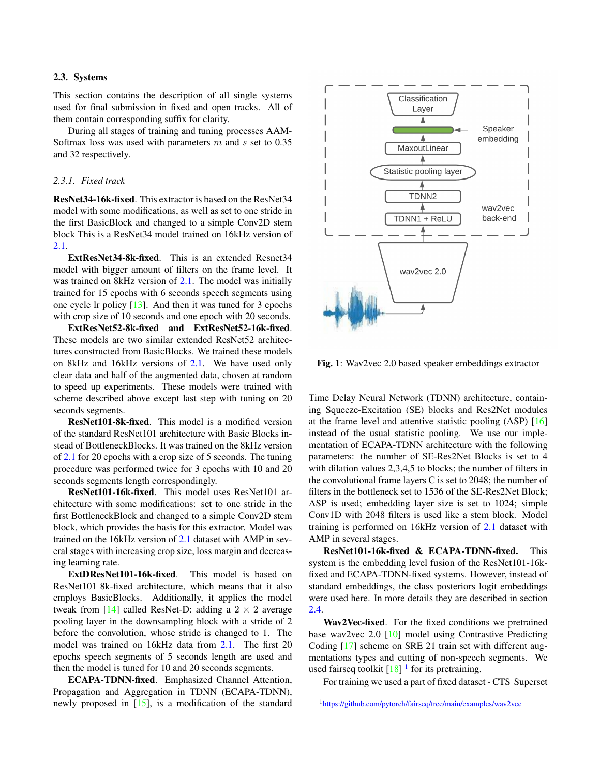#### 2.3. Systems

This section contains the description of all single systems used for final submission in fixed and open tracks. All of them contain corresponding suffix for clarity.

During all stages of training and tuning processes AAM-Softmax loss was used with parameters  $m$  and  $s$  set to 0.35 and 32 respectively.

### *2.3.1. Fixed track*

ResNet34-16k-fixed. This extractor is based on the ResNet34 model with some modifications, as well as set to one stride in the first BasicBlock and changed to a simple Conv2D stem block This is a ResNet34 model trained on 16kHz version of [2.1.](#page-0-0)

ExtResNet34-8k-fixed. This is an extended Resnet34 model with bigger amount of filters on the frame level. It was trained on 8kHz version of [2.1.](#page-0-0) The model was initially trained for 15 epochs with 6 seconds speech segments using one cycle lr policy [\[13\]](#page-9-12). And then it was tuned for 3 epochs with crop size of 10 seconds and one epoch with 20 seconds.

ExtResNet52-8k-fixed and ExtResNet52-16k-fixed. These models are two similar extended ResNet52 architectures constructed from BasicBlocks. We trained these models on 8kHz and 16kHz versions of [2.1.](#page-0-0) We have used only clear data and half of the augmented data, chosen at random to speed up experiments. These models were trained with scheme described above except last step with tuning on 20 seconds segments.

ResNet101-8k-fixed. This model is a modified version of the standard ResNet101 architecture with Basic Blocks instead of BottleneckBlocks. It was trained on the 8kHz version of [2.1](#page-0-0) for 20 epochs with a crop size of 5 seconds. The tuning procedure was performed twice for 3 epochs with 10 and 20 seconds segments length correspondingly.

ResNet101-16k-fixed. This model uses ResNet101 architecture with some modifications: set to one stride in the first BottleneckBlock and changed to a simple Conv2D stem block, which provides the basis for this extractor. Model was trained on the 16kHz version of [2.1](#page-0-0) dataset with AMP in several stages with increasing crop size, loss margin and decreasing learning rate.

ExtDResNet101-16k-fixed. This model is based on ResNet101 8k-fixed architecture, which means that it also employs BasicBlocks. Additionally, it applies the model tweak from [\[14\]](#page-9-13) called ResNet-D: adding a  $2 \times 2$  average pooling layer in the downsampling block with a stride of 2 before the convolution, whose stride is changed to 1. The model was trained on 16kHz data from [2.1.](#page-0-0) The first 20 epochs speech segments of 5 seconds length are used and then the model is tuned for 10 and 20 seconds segments.

ECAPA-TDNN-fixed. Emphasized Channel Attention, Propagation and Aggregation in TDNN (ECAPA-TDNN), newly proposed in [\[15\]](#page-9-14), is a modification of the standard

<span id="page-2-1"></span>

Fig. 1: Wav2vec 2.0 based speaker embeddings extractor

Time Delay Neural Network (TDNN) architecture, containing Squeeze-Excitation (SE) blocks and Res2Net modules at the frame level and attentive statistic pooling (ASP) [\[16\]](#page-9-15) instead of the usual statistic pooling. We use our implementation of ECAPA-TDNN architecture with the following parameters: the number of SE-Res2Net Blocks is set to 4 with dilation values 2,3,4,5 to blocks; the number of filters in the convolutional frame layers C is set to 2048; the number of filters in the bottleneck set to 1536 of the SE-Res2Net Block; ASP is used; embedding layer size is set to 1024; simple Conv1D with 2048 filters is used like a stem block. Model training is performed on 16kHz version of [2.1](#page-0-0) dataset with AMP in several stages.

ResNet101-16k-fixed & ECAPA-TDNN-fixed. This system is the embedding level fusion of the ResNet101-16kfixed and ECAPA-TDNN-fixed systems. However, instead of standard embeddings, the class posteriors logit embeddings were used here. In more details they are described in section [2.4.](#page-3-0)

Wav2Vec-fixed. For the fixed conditions we pretrained base wav2vec 2.0 [\[10\]](#page-9-9) model using Contrastive Predicting Coding [\[17\]](#page-9-16) scheme on SRE 21 train set with different augmentations types and cutting of non-speech segments. We used fairseq toolkit  $[18]$ <sup>[1](#page-2-0)</sup> for its pretraining.

For training we used a part of fixed dataset - CTS\_Superset

<span id="page-2-0"></span><sup>1</sup><https://github.com/pytorch/fairseq/tree/main/examples/wav2vec>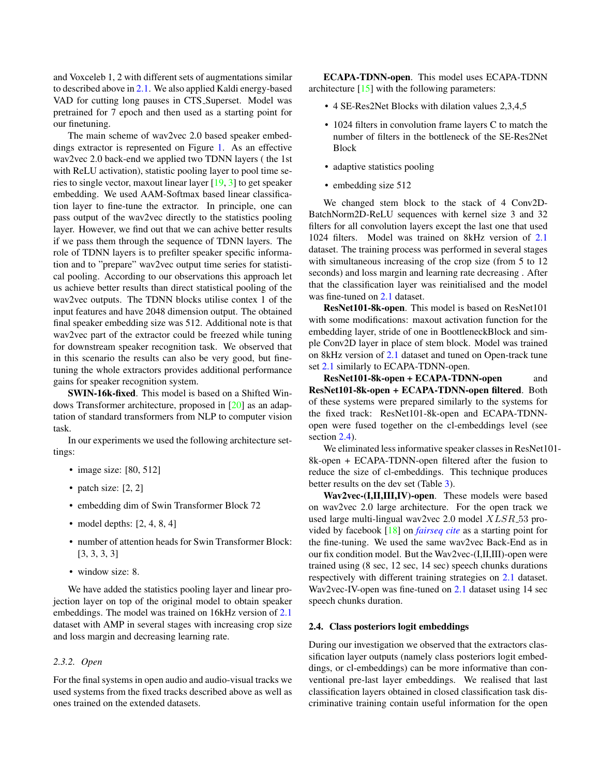and Voxceleb 1, 2 with different sets of augmentations similar to described above in [2.1.](#page-0-0) We also applied Kaldi energy-based VAD for cutting long pauses in CTS Superset. Model was pretrained for 7 epoch and then used as a starting point for our finetuning.

The main scheme of wav2vec 2.0 based speaker embeddings extractor is represented on Figure [1.](#page-2-1) As an effective wav2vec 2.0 back-end we applied two TDNN layers ( the 1st with ReLU activation), statistic pooling layer to pool time series to single vector, maxout linear layer [\[19,](#page-9-18) [3\]](#page-9-2) to get speaker embedding. We used AAM-Softmax based linear classification layer to fine-tune the extractor. In principle, one can pass output of the wav2vec directly to the statistics pooling layer. However, we find out that we can achive better results if we pass them through the sequence of TDNN layers. The role of TDNN layers is to prefilter speaker specific information and to "prepare" wav2vec output time series for statistical pooling. According to our observations this approach let us achieve better results than direct statistical pooling of the wav2vec outputs. The TDNN blocks utilise contex 1 of the input features and have 2048 dimension output. The obtained final speaker embedding size was 512. Additional note is that wav2vec part of the extractor could be freezed while tuning for downstream speaker recognition task. We observed that in this scenario the results can also be very good, but finetuning the whole extractors provides additional performance gains for speaker recognition system.

SWIN-16k-fixed. This model is based on a Shifted Windows Transformer architecture, proposed in [\[20\]](#page-9-19) as an adaptation of standard transformers from NLP to computer vision task.

In our experiments we used the following architecture settings:

- image size: [80, 512]
- patch size: [2, 2]
- embedding dim of Swin Transformer Block 72
- model depths:  $[2, 4, 8, 4]$
- number of attention heads for Swin Transformer Block: [3, 3, 3, 3]
- window size: 8.

We have added the statistics pooling layer and linear projection layer on top of the original model to obtain speaker embeddings. The model was trained on 16kHz version of [2.1](#page-0-0) dataset with AMP in several stages with increasing crop size and loss margin and decreasing learning rate.

# *2.3.2. Open*

For the final systems in open audio and audio-visual tracks we used systems from the fixed tracks described above as well as ones trained on the extended datasets.

ECAPA-TDNN-open. This model uses ECAPA-TDNN architecture  $[15]$  with the following parameters:

- 4 SE-Res2Net Blocks with dilation values 2,3,4,5
- 1024 filters in convolution frame layers C to match the number of filters in the bottleneck of the SE-Res2Net Block
- adaptive statistics pooling
- embedding size 512

We changed stem block to the stack of 4 Conv2D-BatchNorm2D-ReLU sequences with kernel size 3 and 32 filters for all convolution layers except the last one that used 1024 filters. Model was trained on 8kHz version of [2.1](#page-0-0) dataset. The training process was performed in several stages with simultaneous increasing of the crop size (from 5 to 12) seconds) and loss margin and learning rate decreasing . After that the classification layer was reinitialised and the model was fine-tuned on [2.1](#page-0-0) dataset.

ResNet101-8k-open. This model is based on ResNet101 with some modifications: maxout activation function for the embedding layer, stride of one in BoottleneckBlock and simple Conv2D layer in place of stem block. Model was trained on 8kHz version of [2.1](#page-0-0) dataset and tuned on Open-track tune set [2.1](#page-0-0) similarly to ECAPA-TDNN-open.

ResNet101-8k-open + ECAPA-TDNN-open and ResNet101-8k-open + ECAPA-TDNN-open filtered. Both of these systems were prepared similarly to the systems for the fixed track: ResNet101-8k-open and ECAPA-TDNNopen were fused together on the cl-embeddings level (see section [2.4\)](#page-3-0).

We eliminated less informative speaker classes in ResNet101- 8k-open + ECAPA-TDNN-open filtered after the fusion to reduce the size of cl-embeddings. This technique produces better results on the dev set (Table [3\)](#page-5-0).

Wav2vec-(I,II,III,IV)-open. These models were based on wav2vec 2.0 large architecture. For the open track we used large multi-lingual wav2vec 2.0 model  $XLSR_53$  provided by facebook [\[18\]](#page-9-17) on *[fairseq cite](https://github.com/pytorch/fairseq/tree/main/examples/wav2vec)* as a starting point for the fine-tuning. We used the same wav2vec Back-End as in our fix condition model. But the Wav2vec-(I,II,III)-open were trained using (8 sec, 12 sec, 14 sec) speech chunks durations respectively with different training strategies on [2.1](#page-0-0) dataset. Wav2vec-IV-open was fine-tuned on [2.1](#page-0-0) dataset using 14 sec speech chunks duration.

### <span id="page-3-0"></span>2.4. Class posteriors logit embeddings

During our investigation we observed that the extractors classification layer outputs (namely class posteriors logit embeddings, or cl-embeddings) can be more informative than conventional pre-last layer embeddings. We realised that last classification layers obtained in closed classification task discriminative training contain useful information for the open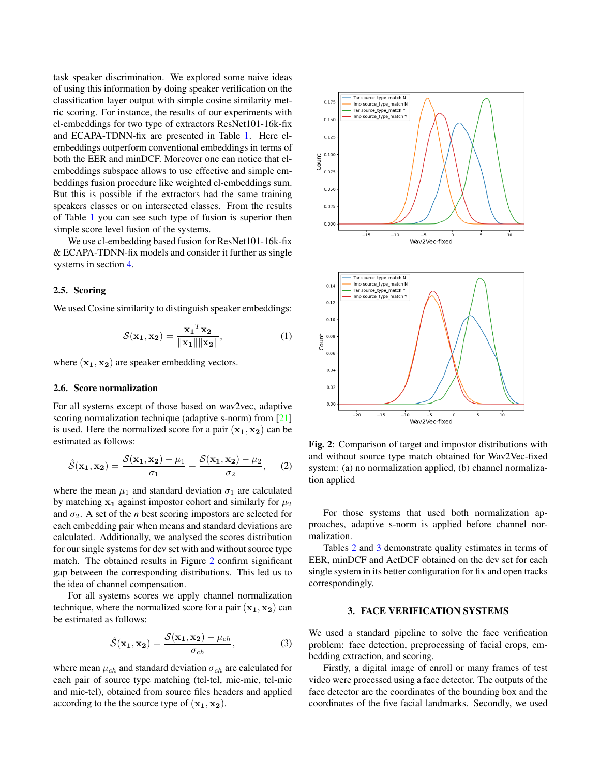task speaker discrimination. We explored some naive ideas of using this information by doing speaker verification on the classification layer output with simple cosine similarity metric scoring. For instance, the results of our experiments with cl-embeddings for two type of extractors ResNet101-16k-fix and ECAPA-TDNN-fix are presented in Table [1.](#page-5-1) Here clembeddings outperform conventional embeddings in terms of both the EER and minDCF. Moreover one can notice that clembeddings subspace allows to use effective and simple embeddings fusion procedure like weighted cl-embeddings sum. But this is possible if the extractors had the same training speakers classes or on intersected classes. From the results of Table [1](#page-5-1) you can see such type of fusion is superior then simple score level fusion of the systems.

We use cl-embedding based fusion for ResNet101-16k-fix & ECAPA-TDNN-fix models and consider it further as single systems in section [4.](#page-7-0)

# 2.5. Scoring

We used Cosine similarity to distinguish speaker embeddings:

$$
\mathcal{S}(\mathbf{x_1}, \mathbf{x_2}) = \frac{\mathbf{x_1}^T \mathbf{x_2}}{\|\mathbf{x_1}\| \|\mathbf{x_2}\|},
$$
 (1)

where  $(x_1, x_2)$  are speaker embedding vectors.

## 2.6. Score normalization

For all systems except of those based on wav2vec, adaptive scoring normalization technique (adaptive s-norm) from [\[21\]](#page-9-20) is used. Here the normalized score for a pair  $(x_1, x_2)$  can be estimated as follows:

$$
\hat{S}(\mathbf{x_1}, \mathbf{x_2}) = \frac{S(\mathbf{x_1}, \mathbf{x_2}) - \mu_1}{\sigma_1} + \frac{S(\mathbf{x_1}, \mathbf{x_2}) - \mu_2}{\sigma_2}, \quad (2)
$$

where the mean  $\mu_1$  and standard deviation  $\sigma_1$  are calculated by matching  $x_1$  against impostor cohort and similarly for  $\mu_2$ and  $\sigma_2$ . A set of the *n* best scoring impostors are selected for each embedding pair when means and standard deviations are calculated. Additionally, we analysed the scores distribution for our single systems for dev set with and without source type match. The obtained results in Figure [2](#page-4-0) confirm significant gap between the corresponding distributions. This led us to the idea of channel compensation.

For all systems scores we apply channel normalization technique, where the normalized score for a pair  $(x_1, x_2)$  can be estimated as follows:

$$
\hat{S}(\mathbf{x_1}, \mathbf{x_2}) = \frac{S(\mathbf{x_1}, \mathbf{x_2}) - \mu_{ch}}{\sigma_{ch}},
$$
\n(3)

where mean  $\mu_{ch}$  and standard deviation  $\sigma_{ch}$  are calculated for each pair of source type matching (tel-tel, mic-mic, tel-mic and mic-tel), obtained from source files headers and applied according to the the source type of  $(x_1, x_2)$ .

<span id="page-4-0"></span>

Fig. 2: Comparison of target and impostor distributions with and without source type match obtained for Wav2Vec-fixed system: (a) no normalization applied, (b) channel normalization applied

For those systems that used both normalization approaches, adaptive s-norm is applied before channel normalization.

Tables [2](#page-5-2) and [3](#page-5-0) demonstrate quality estimates in terms of EER, minDCF and ActDCF obtained on the dev set for each single system in its better configuration for fix and open tracks correspondingly.

#### 3. FACE VERIFICATION SYSTEMS

We used a standard pipeline to solve the face verification problem: face detection, preprocessing of facial crops, embedding extraction, and scoring.

Firstly, a digital image of enroll or many frames of test video were processed using a face detector. The outputs of the face detector are the coordinates of the bounding box and the coordinates of the five facial landmarks. Secondly, we used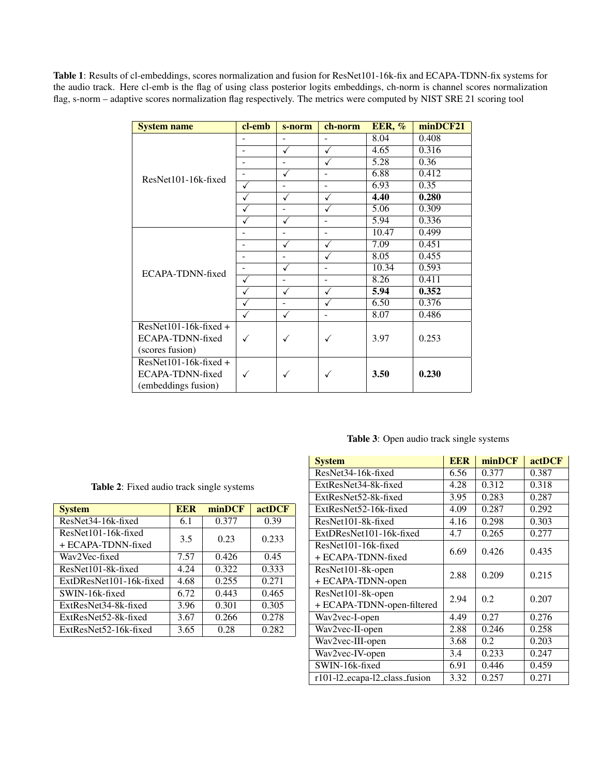<span id="page-5-1"></span>Table 1: Results of cl-embeddings, scores normalization and fusion for ResNet101-16k-fix and ECAPA-TDNN-fix systems for the audio track. Here cl-emb is the flag of using class posterior logits embeddings, ch-norm is channel scores normalization flag, s-norm – adaptive scores normalization flag respectively. The metrics were computed by NIST SRE 21 scoring tool

| <b>System name</b>     | cl-emb | s-norm         | ch-norm                  | <b>EER, %</b> | minDCF21 |
|------------------------|--------|----------------|--------------------------|---------------|----------|
|                        |        | $\overline{a}$ |                          | 8.04          | 0.408    |
|                        | ۳      | ✓              | $\checkmark$             | 4.65          | 0.316    |
|                        |        |                |                          | 5.28          | 0.36     |
| ResNet101-16k-fixed    | -      | ✓              |                          | 6.88          | 0.412    |
|                        | ✓      | ۰              | $\overline{\phantom{a}}$ | 6.93          | 0.35     |
|                        |        | √              | $\checkmark$             | 4.40          | 0.280    |
|                        |        | ۰              |                          | 5.06          | 0.309    |
|                        |        | ✓              | $\overline{a}$           | 5.94          | 0.336    |
|                        | ۰      | L.             | $\overline{a}$           | 10.47         | 0.499    |
|                        | -      | √              | √                        | 7.09          | 0.451    |
|                        | ۰      |                |                          | 8.05          | 0.455    |
| ECAPA-TDNN-fixed       |        | ✓              | $\blacksquare$           | 10.34         | 0.593    |
|                        | √      | ۰              | $\overline{\phantom{a}}$ | 8.26          | 0.411    |
|                        |        | ✓              | √                        | 5.94          | 0.352    |
|                        |        | $\overline{a}$ | ✓                        | 6.50          | 0.376    |
|                        |        | ✓              | L.                       | 8.07          | 0.486    |
| $ResNet101-16k-fixed+$ |        |                |                          |               |          |
| ECAPA-TDNN-fixed       | ✓      |                | √                        | 3.97          | 0.253    |
| (scores fusion)        |        |                |                          |               |          |
| $ResNet101-16k-fixed+$ |        |                |                          |               |          |
| ECAPA-TDNN-fixed       | ✓      |                | ✓                        | 3.50          | 0.230    |
| (embeddings fusion)    |        |                |                          |               |          |

# Table 3: Open audio track single systems

<span id="page-5-2"></span>

| <b>System</b>                                | <b>EER</b> | minDCF | actDCF |
|----------------------------------------------|------------|--------|--------|
| ResNet <sub>34</sub> -16 <sub>k</sub> -fixed | 6.1        | 0.377  | 0.39   |
| ResNet101-16k-fixed<br>$+$ ECAPA-TDNN-fixed  | 3.5        | 0.23   | 0.233  |
| Wav2Vec-fixed                                | 7.57       | 0.426  | 0.45   |
| ResNet101-8k-fixed                           | 4.24       | 0.322  | 0.333  |
| ExtDResNet101-16k-fixed                      | 4.68       | 0.255  | 0.271  |
| SWIN-16k-fixed                               | 6.72       | 0.443  | 0.465  |
| ExtResNet34-8k-fixed                         | 3.96       | 0.301  | 0.305  |
| ExtResNet52-8k-fixed                         | 3.67       | 0.266  | 0.278  |
| ExtResNet52-16k-fixed                        | 3.65       | 0.28   | 0.282  |

Table 2: Fixed audio track single systems

<span id="page-5-0"></span>

| <b>System</b>                 | <b>EER</b> | minDCF | actDCF |  |
|-------------------------------|------------|--------|--------|--|
| ResNet34-16k-fixed            | 6.56       | 0.377  | 0.387  |  |
| ExtResNet34-8k-fixed          | 4.28       | 0.312  | 0.318  |  |
| ExtResNet52-8k-fixed          | 3.95       | 0.283  | 0.287  |  |
| ExtResNet52-16k-fixed         | 4.09       | 0.287  | 0.292  |  |
| ResNet101-8k-fixed            | 4.16       | 0.298  | 0.303  |  |
| ExtDResNet101-16k-fixed       | 4.7        | 0.265  | 0.277  |  |
| ResNet101-16k-fixed           | 6.69       | 0.426  | 0.435  |  |
| + ECAPA-TDNN-fixed            |            |        |        |  |
| ResNet101-8k-open             | 2.88       | 0.209  | 0.215  |  |
| + ECAPA-TDNN-open             |            |        |        |  |
| ResNet101-8k-open             | 2.94       | 0.2    | 0.207  |  |
| + ECAPA-TDNN-open-filtered    |            |        |        |  |
| Wav2vec-I-open                | 4.49       | 0.27   | 0.276  |  |
| Wav2vec-II-open               | 2.88       | 0.246  | 0.258  |  |
| Wav2vec-III-open              | 3.68       | 0.2    | 0.203  |  |
| Wav2vec-IV-open               | 3.4        | 0.233  | 0.247  |  |
| SWIN-16k-fixed                | 6.91       | 0.446  | 0.459  |  |
| r101-12_ecapa-12_class_fusion | 3.32       | 0.257  | 0.271  |  |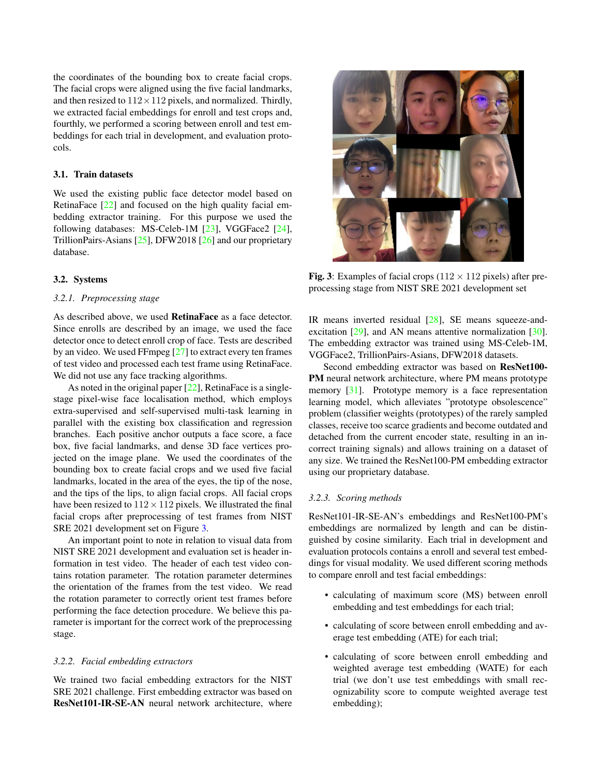the coordinates of the bounding box to create facial crops. The facial crops were aligned using the five facial landmarks, and then resized to  $112 \times 112$  pixels, and normalized. Thirdly, we extracted facial embeddings for enroll and test crops and, fourthly, we performed a scoring between enroll and test embeddings for each trial in development, and evaluation protocols.

### 3.1. Train datasets

We used the existing public face detector model based on RetinaFace [\[22\]](#page-9-21) and focused on the high quality facial embedding extractor training. For this purpose we used the following databases: MS-Celeb-1M [\[23\]](#page-10-0), VGGFace2 [\[24\]](#page-10-1), TrillionPairs-Asians [\[25\]](#page-10-2), DFW2018 [\[26\]](#page-10-3) and our proprietary database.

## 3.2. Systems

## *3.2.1. Preprocessing stage*

As described above, we used RetinaFace as a face detector. Since enrolls are described by an image, we used the face detector once to detect enroll crop of face. Tests are described by an video. We used FFmpeg [\[27\]](#page-10-4) to extract every ten frames of test video and processed each test frame using RetinaFace. We did not use any face tracking algorithms.

As noted in the original paper [\[22\]](#page-9-21), RetinaFace is a singlestage pixel-wise face localisation method, which employs extra-supervised and self-supervised multi-task learning in parallel with the existing box classification and regression branches. Each positive anchor outputs a face score, a face box, five facial landmarks, and dense 3D face vertices projected on the image plane. We used the coordinates of the bounding box to create facial crops and we used five facial landmarks, located in the area of the eyes, the tip of the nose, and the tips of the lips, to align facial crops. All facial crops have been resized to  $112 \times 112$  pixels. We illustrated the final facial crops after preprocessing of test frames from NIST SRE 2021 development set on Figure [3.](#page-6-0)

An important point to note in relation to visual data from NIST SRE 2021 development and evaluation set is header information in test video. The header of each test video contains rotation parameter. The rotation parameter determines the orientation of the frames from the test video. We read the rotation parameter to correctly orient test frames before performing the face detection procedure. We believe this parameter is important for the correct work of the preprocessing stage.

# *3.2.2. Facial embedding extractors*

We trained two facial embedding extractors for the NIST SRE 2021 challenge. First embedding extractor was based on ResNet101-IR-SE-AN neural network architecture, where

<span id="page-6-0"></span>

Fig. 3: Examples of facial crops  $(112 \times 112)$  pixels) after preprocessing stage from NIST SRE 2021 development set

IR means inverted residual [\[28\]](#page-10-5), SE means squeeze-and-excitation [\[29\]](#page-10-6), and AN means attentive normalization [\[30\]](#page-10-7). The embedding extractor was trained using MS-Celeb-1M, VGGFace2, TrillionPairs-Asians, DFW2018 datasets.

Second embedding extractor was based on ResNet100- PM neural network architecture, where PM means prototype memory [\[31\]](#page-10-8). Prototype memory is a face representation learning model, which alleviates "prototype obsolescence" problem (classifier weights (prototypes) of the rarely sampled classes, receive too scarce gradients and become outdated and detached from the current encoder state, resulting in an incorrect training signals) and allows training on a dataset of any size. We trained the ResNet100-PM embedding extractor using our proprietary database.

#### *3.2.3. Scoring methods*

ResNet101-IR-SE-AN's embeddings and ResNet100-PM's embeddings are normalized by length and can be distinguished by cosine similarity. Each trial in development and evaluation protocols contains a enroll and several test embeddings for visual modality. We used different scoring methods to compare enroll and test facial embeddings:

- calculating of maximum score (MS) between enroll embedding and test embeddings for each trial;
- calculating of score between enroll embedding and average test embedding (ATE) for each trial;
- calculating of score between enroll embedding and weighted average test embedding (WATE) for each trial (we don't use test embeddings with small recognizability score to compute weighted average test embedding);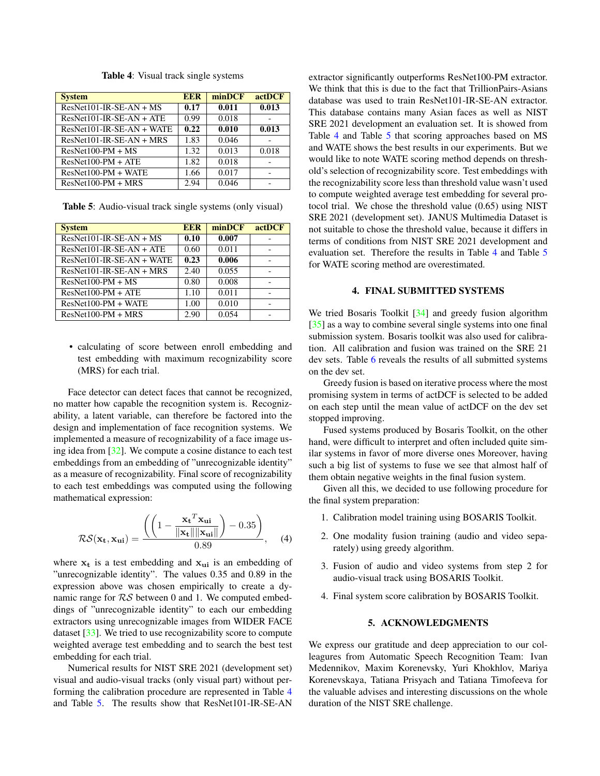<span id="page-7-1"></span>

| <b>System</b>               | <b>EER</b> | minDCF | actDCF |
|-----------------------------|------------|--------|--------|
| $ResNet101-IR-SE-AN+MS$     | 0.17       | 0.011  | 0.013  |
| $ResNet101-IR-SE-AN + ATE$  | 0.99       | 0.018  |        |
| $ResNet101-IR-SE-AN + WATE$ | 0.22       | 0.010  | 0.013  |
| $ResNet101-IR-SE-AN+MRS$    | 1.83       | 0.046  |        |
| $ResNet100-PM + MS$         | 1.32       | 0.013  | 0.018  |
| $ResNet100-PM + ATE$        | 1.82       | 0.018  |        |
| $ResNet100-PM + WATE$       | 1.66       | 0.017  |        |
| $ResNet100-PM + MRS$        | 2.94       | 0.046  |        |

Table 4: Visual track single systems

<span id="page-7-2"></span>Table 5: Audio-visual track single systems (only visual)

| <b>System</b>              | <b>EER</b> | minDCF | actDCF |
|----------------------------|------------|--------|--------|
| $ResNet101-IR-SE-AN+MS$    | 0.10       | 0.007  |        |
| $ResNet101-IR-SE-AN + ATE$ | 0.60       | 0.011  |        |
| ResNet101-IR-SE-AN + WATE  | 0.23       | 0.006  |        |
| $ResNet101-IR-SE-AN+MRS$   | 2.40       | 0.055  |        |
| $ResNet100-PM + MS$        | 0.80       | 0.008  |        |
| $ResNet100-PM + ATE$       | 1.10       | 0.011  |        |
| $ResNet100-PM + WATE$      | 1.00       | 0.010  |        |
| $ResNet100-PM + MRS$       | 2.90       | 0.054  |        |

• calculating of score between enroll embedding and test embedding with maximum recognizability score (MRS) for each trial.

Face detector can detect faces that cannot be recognized, no matter how capable the recognition system is. Recognizability, a latent variable, can therefore be factored into the design and implementation of face recognition systems. We implemented a measure of recognizability of a face image using idea from [\[32\]](#page-10-9). We compute a cosine distance to each test embeddings from an embedding of "unrecognizable identity" as a measure of recognizability. Final score of recognizability to each test embeddings was computed using the following mathematical expression:

$$
\mathcal{RS}(\mathbf{x_t}, \mathbf{x_{ui}}) = \frac{\left( \left( 1 - \frac{\mathbf{x_t}^T \mathbf{x_{ui}}}{\|\mathbf{x_t}\| \|\mathbf{x_{ui}\|}} \right) - 0.35 \right)}{0.89}, \quad (4)
$$

where  $x_t$  is a test embedding and  $x_{ui}$  is an embedding of "unrecognizable identity". The values 0.35 and 0.89 in the expression above was chosen empirically to create a dynamic range for  $RS$  between 0 and 1. We computed embeddings of "unrecognizable identity" to each our embedding extractors using unrecognizable images from WIDER FACE dataset [\[33\]](#page-10-10). We tried to use recognizability score to compute weighted average test embedding and to search the best test embedding for each trial.

Numerical results for NIST SRE 2021 (development set) visual and audio-visual tracks (only visual part) without performing the calibration procedure are represented in Table [4](#page-7-1) and Table [5.](#page-7-2) The results show that ResNet101-IR-SE-AN

extractor significantly outperforms ResNet100-PM extractor. We think that this is due to the fact that TrillionPairs-Asians database was used to train ResNet101-IR-SE-AN extractor. This database contains many Asian faces as well as NIST SRE 2021 development an evaluation set. It is showed from Table [4](#page-7-1) and Table [5](#page-7-2) that scoring approaches based on MS and WATE shows the best results in our experiments. But we would like to note WATE scoring method depends on threshold's selection of recognizability score. Test embeddings with the recognizability score less than threshold value wasn't used to compute weighted average test embedding for several protocol trial. We chose the threshold value (0.65) using NIST SRE 2021 (development set). JANUS Multimedia Dataset is not suitable to chose the threshold value, because it differs in terms of conditions from NIST SRE 2021 development and evaluation set. Therefore the results in Table [4](#page-7-1) and Table [5](#page-7-2) for WATE scoring method are overestimated.

# 4. FINAL SUBMITTED SYSTEMS

<span id="page-7-0"></span>We tried Bosaris Toolkit [\[34\]](#page-10-11) and greedy fusion algorithm [\[35\]](#page-10-12) as a way to combine several single systems into one final submission system. Bosaris toolkit was also used for calibration. All calibration and fusion was trained on the SRE 21 dev sets. Table [6](#page-8-0) reveals the results of all submitted systems on the dev set.

Greedy fusion is based on iterative process where the most promising system in terms of actDCF is selected to be added on each step until the mean value of actDCF on the dev set stopped improving.

Fused systems produced by Bosaris Toolkit, on the other hand, were difficult to interpret and often included quite similar systems in favor of more diverse ones Moreover, having such a big list of systems to fuse we see that almost half of them obtain negative weights in the final fusion system.

Given all this, we decided to use following procedure for the final system preparation:

- 1. Calibration model training using BOSARIS Toolkit.
- 2. One modality fusion training (audio and video separately) using greedy algorithm.
- 3. Fusion of audio and video systems from step 2 for audio-visual track using BOSARIS Toolkit.
- 4. Final system score calibration by BOSARIS Toolkit.

#### 5. ACKNOWLEDGMENTS

We express our gratitude and deep appreciation to our colleagures from Automatic Speech Recognition Team: Ivan Medennikov, Maxim Korenevsky, Yuri Khokhlov, Mariya Korenevskaya, Tatiana Prisyach and Tatiana Timofeeva for the valuable advises and interesting discussions on the whole duration of the NIST SRE challenge.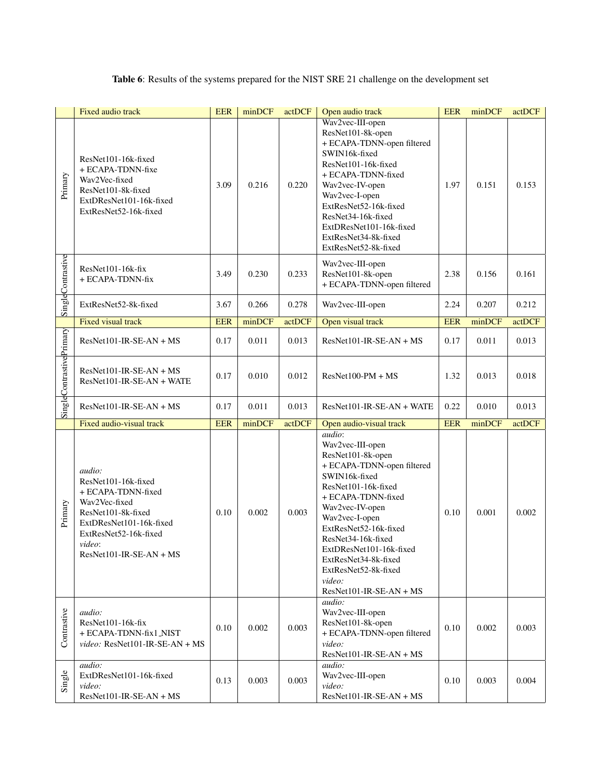Table 6: Results of the systems prepared for the NIST SRE 21 challenge on the development set

<span id="page-8-0"></span>

|                          | Fixed audio track                                                                                                                                                                     | <b>EER</b> | minDCF | actDCF | Open audio track                                                                                                                                                                                                                                                                                                                                | <b>EER</b> | minDCF | actDCF |
|--------------------------|---------------------------------------------------------------------------------------------------------------------------------------------------------------------------------------|------------|--------|--------|-------------------------------------------------------------------------------------------------------------------------------------------------------------------------------------------------------------------------------------------------------------------------------------------------------------------------------------------------|------------|--------|--------|
| Primary                  | ResNet101-16k-fixed<br>+ ECAPA-TDNN-fixe<br>Wav2Vec-fixed<br>ResNet101-8k-fixed<br>ExtDResNet101-16k-fixed<br>ExtResNet52-16k-fixed                                                   | 3.09       | 0.216  | 0.220  | Wav2vec-III-open<br>ResNet101-8k-open<br>+ ECAPA-TDNN-open filtered<br>SWIN16k-fixed<br>ResNet101-16k-fixed<br>+ ECAPA-TDNN-fixed<br>Wav2vec-IV-open<br>Wav2vec-I-open<br>ExtResNet52-16k-fixed<br>ResNet34-16k-fixed<br>ExtDResNet101-16k-fixed<br>ExtResNet34-8k-fixed<br>ExtResNet52-8k-fixed                                                | 1.97       | 0.151  | 0.153  |
| SingleContrastive        | ResNet101-16k-fix<br>+ ECAPA-TDNN-fix                                                                                                                                                 | 3.49       | 0.230  | 0.233  | Wav2vec-III-open<br>ResNet101-8k-open<br>+ ECAPA-TDNN-open filtered                                                                                                                                                                                                                                                                             | 2.38       | 0.156  | 0.161  |
|                          | ExtResNet52-8k-fixed                                                                                                                                                                  | 3.67       | 0.266  | 0.278  | Wav2vec-III-open                                                                                                                                                                                                                                                                                                                                | 2.24       | 0.207  | 0.212  |
|                          | <b>Fixed visual track</b>                                                                                                                                                             | <b>EER</b> | minDCF | actDCF | Open visual track                                                                                                                                                                                                                                                                                                                               | <b>EER</b> | minDCF | actDCF |
|                          | ResNet101-IR-SE-AN + MS                                                                                                                                                               | 0.17       | 0.011  | 0.013  | ResNet101-IR-SE-AN + MS                                                                                                                                                                                                                                                                                                                         | 0.17       | 0.011  | 0.013  |
| SingleContrastivePrimary | ResNet101-IR-SE-AN + MS<br>ResNet101-IR-SE-AN + WATE                                                                                                                                  | 0.17       | 0.010  | 0.012  | $ResNet100-PM + MS$                                                                                                                                                                                                                                                                                                                             | 1.32       | 0.013  | 0.018  |
|                          | $ResNet101-IR-SE-AN + MS$                                                                                                                                                             | 0.17       | 0.011  | 0.013  | ResNet101-IR-SE-AN + WATE                                                                                                                                                                                                                                                                                                                       | 0.22       | 0.010  | 0.013  |
|                          | Fixed audio-visual track                                                                                                                                                              | <b>EER</b> | minDCF | actDCF | Open audio-visual track                                                                                                                                                                                                                                                                                                                         | <b>EER</b> | minDCF | actDCF |
| Primary                  | audio:<br>ResNet101-16k-fixed<br>+ ECAPA-TDNN-fixed<br>Wav2Vec-fixed<br>ResNet101-8k-fixed<br>ExtDResNet101-16k-fixed<br>ExtResNet52-16k-fixed<br>video:<br>$ResNet101-IR-SE-AN + MS$ | 0.10       | 0.002  | 0.003  | audio:<br>Wav2vec-III-open<br>ResNet101-8k-open<br>+ ECAPA-TDNN-open filtered<br>SWIN16k-fixed<br>ResNet101-16k-fixed<br>+ ECAPA-TDNN-fixed<br>Wav2vec-IV-open<br>Wav2vec-I-open<br>ExtResNet52-16k-fixed<br>ResNet34-16k-fixed<br>ExtDResNet101-16k-fixed<br>ExtResNet34-8k-fixed<br>ExtResNet52-8k-fixed<br>video:<br>ResNet101-IR-SE-AN + MS | 0.10       | 0.001  | 0.002  |
| Contrastive              | <i>audio:</i><br>ResNet101-16k-fix<br>+ ECAPA-TDNN-fix1_NIST<br>video: ResNet101-IR-SE-AN + MS                                                                                        | 0.10       | 0.002  | 0.003  | audio:<br>Wav2vec-III-open<br>ResNet101-8k-open<br>+ ECAPA-TDNN-open filtered<br>video:<br>$ResNet101-IR-SE-AN+MS$                                                                                                                                                                                                                              | 0.10       | 0.002  | 0.003  |
| Single                   | audio:<br>ExtDResNet101-16k-fixed<br>video:<br>ResNet101-IR-SE-AN + MS                                                                                                                | 0.13       | 0.003  | 0.003  | audio:<br>Wav2vec-III-open<br>video:<br>ResNet101-IR-SE-AN + MS                                                                                                                                                                                                                                                                                 | 0.10       | 0.003  | 0.004  |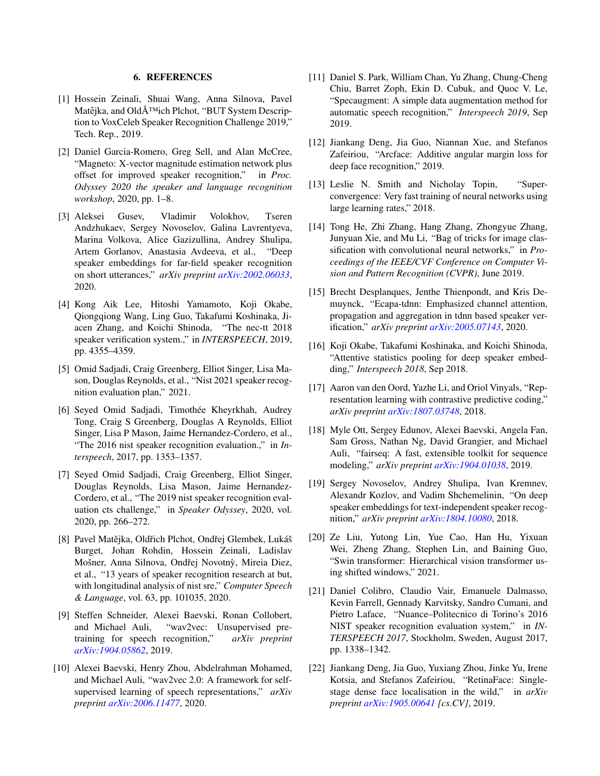# 6. REFERENCES

- <span id="page-9-0"></span>[1] Hossein Zeinali, Shuai Wang, Anna Silnova, Pavel Matějka, and OldÅ<sup>TM</sup>ich Plchot, "BUT System Description to VoxCeleb Speaker Recognition Challenge 2019," Tech. Rep., 2019.
- <span id="page-9-1"></span>[2] Daniel Garcia-Romero, Greg Sell, and Alan McCree, "Magneto: X-vector magnitude estimation network plus offset for improved speaker recognition," in *Proc. Odyssey 2020 the speaker and language recognition workshop*, 2020, pp. 1–8.
- <span id="page-9-2"></span>[3] Aleksei Gusev, Vladimir Volokhov, Tseren Andzhukaev, Sergey Novoselov, Galina Lavrentyeva, Marina Volkova, Alice Gazizullina, Andrey Shulipa, Artem Gorlanov, Anastasia Avdeeva, et al., "Deep speaker embeddings for far-field speaker recognition on short utterances," *arXiv preprint [arXiv:2002.06033](http://arxiv.org/abs/2002.06033)*, 2020.
- <span id="page-9-3"></span>[4] Kong Aik Lee, Hitoshi Yamamoto, Koji Okabe, Qiongqiong Wang, Ling Guo, Takafumi Koshinaka, Jiacen Zhang, and Koichi Shinoda, "The nec-tt 2018 speaker verification system.," in *INTERSPEECH*, 2019, pp. 4355–4359.
- <span id="page-9-4"></span>[5] Omid Sadjadi, Craig Greenberg, Elliot Singer, Lisa Mason, Douglas Reynolds, et al., "Nist 2021 speaker recognition evaluation plan," 2021.
- <span id="page-9-5"></span>[6] Seyed Omid Sadjadi, Timothée Kheyrkhah, Audrey Tong, Craig S Greenberg, Douglas A Reynolds, Elliot Singer, Lisa P Mason, Jaime Hernandez-Cordero, et al., "The 2016 nist speaker recognition evaluation.," in *Interspeech*, 2017, pp. 1353–1357.
- <span id="page-9-6"></span>[7] Seyed Omid Sadjadi, Craig Greenberg, Elliot Singer, Douglas Reynolds, Lisa Mason, Jaime Hernandez-Cordero, et al., "The 2019 nist speaker recognition evaluation cts challenge," in *Speaker Odyssey*, 2020, vol. 2020, pp. 266–272.
- <span id="page-9-7"></span>[8] Pavel Matějka, Oldřich Plchot, Ondřej Glembek, Lukáš Burget, Johan Rohdin, Hossein Zeinali, Ladislav Mošner, Anna Silnova, Ondřej Novotný, Mireia Diez, et al., "13 years of speaker recognition research at but, with longitudinal analysis of nist sre," *Computer Speech & Language*, vol. 63, pp. 101035, 2020.
- <span id="page-9-8"></span>[9] Steffen Schneider, Alexei Baevski, Ronan Collobert, and Michael Auli, "wav2vec: Unsupervised pretraining for speech recognition," *arXiv preprint [arXiv:1904.05862](http://arxiv.org/abs/1904.05862)*, 2019.
- <span id="page-9-9"></span>[10] Alexei Baevski, Henry Zhou, Abdelrahman Mohamed, and Michael Auli, "wav2vec 2.0: A framework for selfsupervised learning of speech representations," *arXiv preprint [arXiv:2006.11477](http://arxiv.org/abs/2006.11477)*, 2020.
- <span id="page-9-10"></span>[11] Daniel S. Park, William Chan, Yu Zhang, Chung-Cheng Chiu, Barret Zoph, Ekin D. Cubuk, and Quoc V. Le, "Specaugment: A simple data augmentation method for automatic speech recognition," *Interspeech 2019*, Sep 2019.
- <span id="page-9-11"></span>[12] Jiankang Deng, Jia Guo, Niannan Xue, and Stefanos Zafeiriou, "Arcface: Additive angular margin loss for deep face recognition," 2019.
- <span id="page-9-12"></span>[13] Leslie N. Smith and Nicholay Topin, "Superconvergence: Very fast training of neural networks using large learning rates," 2018.
- <span id="page-9-13"></span>[14] Tong He, Zhi Zhang, Hang Zhang, Zhongyue Zhang, Junyuan Xie, and Mu Li, "Bag of tricks for image classification with convolutional neural networks," in *Proceedings of the IEEE/CVF Conference on Computer Vision and Pattern Recognition (CVPR)*, June 2019.
- <span id="page-9-14"></span>[15] Brecht Desplanques, Jenthe Thienpondt, and Kris Demuynck, "Ecapa-tdnn: Emphasized channel attention, propagation and aggregation in tdnn based speaker verification," *arXiv preprint [arXiv:2005.07143](http://arxiv.org/abs/2005.07143)*, 2020.
- <span id="page-9-15"></span>[16] Koji Okabe, Takafumi Koshinaka, and Koichi Shinoda, "Attentive statistics pooling for deep speaker embedding," *Interspeech 2018*, Sep 2018.
- <span id="page-9-16"></span>[17] Aaron van den Oord, Yazhe Li, and Oriol Vinyals, "Representation learning with contrastive predictive coding," *arXiv preprint [arXiv:1807.03748](http://arxiv.org/abs/1807.03748)*, 2018.
- <span id="page-9-17"></span>[18] Myle Ott, Sergey Edunov, Alexei Baevski, Angela Fan, Sam Gross, Nathan Ng, David Grangier, and Michael Auli, "fairseq: A fast, extensible toolkit for sequence modeling," *arXiv preprint [arXiv:1904.01038](http://arxiv.org/abs/1904.01038)*, 2019.
- <span id="page-9-18"></span>[19] Sergey Novoselov, Andrey Shulipa, Ivan Kremnev, Alexandr Kozlov, and Vadim Shchemelinin, "On deep speaker embeddings for text-independent speaker recognition," *arXiv preprint [arXiv:1804.10080](http://arxiv.org/abs/1804.10080)*, 2018.
- <span id="page-9-19"></span>[20] Ze Liu, Yutong Lin, Yue Cao, Han Hu, Yixuan Wei, Zheng Zhang, Stephen Lin, and Baining Guo, "Swin transformer: Hierarchical vision transformer using shifted windows," 2021.
- <span id="page-9-20"></span>[21] Daniel Colibro, Claudio Vair, Emanuele Dalmasso, Kevin Farrell, Gennady Karvitsky, Sandro Cumani, and Pietro Laface, "Nuance–Politecnico di Torino's 2016 NIST speaker recognition evaluation system," in *IN-TERSPEECH 2017*, Stockholm, Sweden, August 2017, pp. 1338–1342.
- <span id="page-9-21"></span>[22] Jiankang Deng, Jia Guo, Yuxiang Zhou, Jinke Yu, Irene Kotsia, and Stefanos Zafeiriou, "RetinaFace: Singlestage dense face localisation in the wild," in *arXiv preprint [arXiv:1905.00641](http://arxiv.org/abs/1905.00641) [cs.CV]*, 2019.